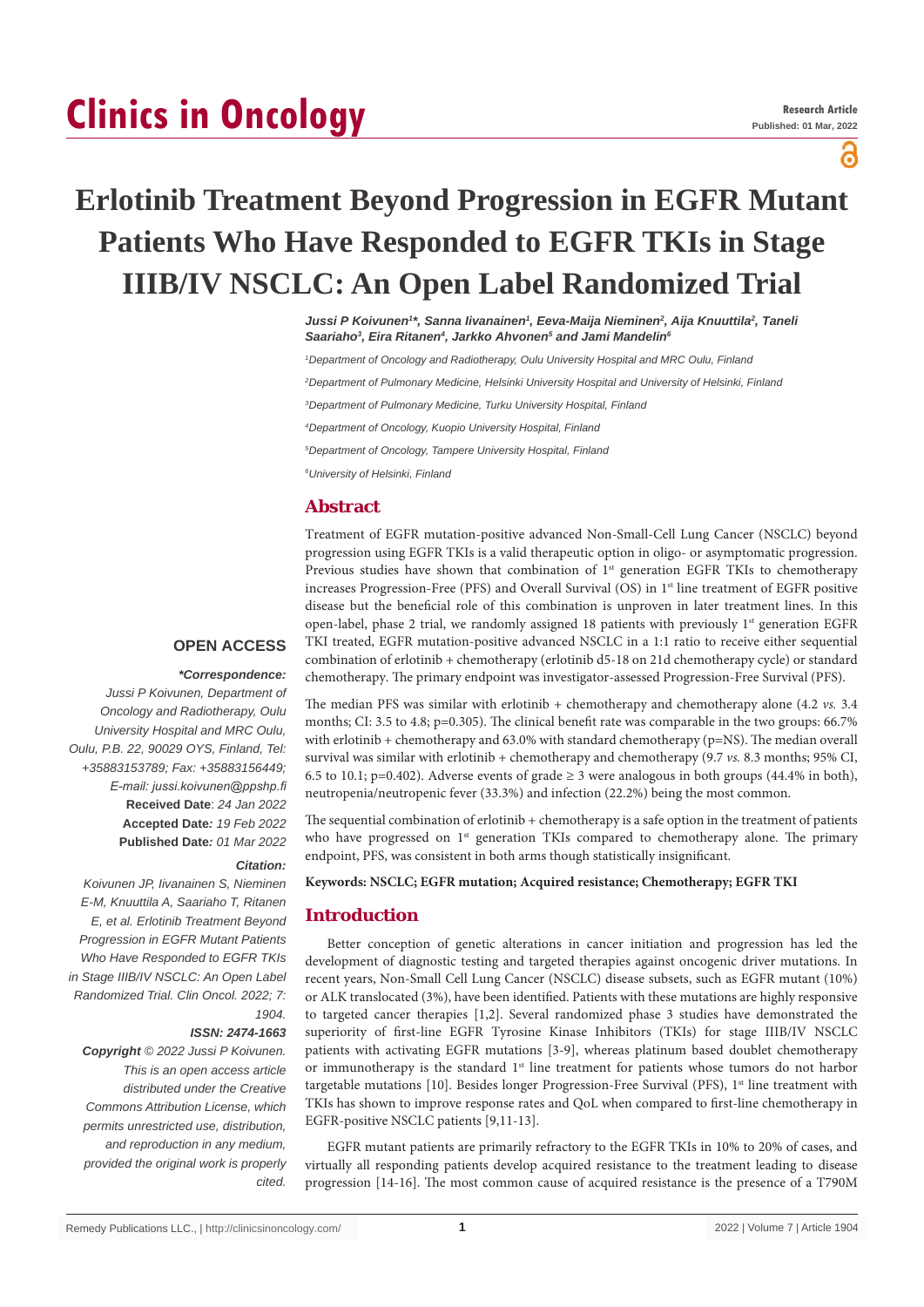# **Clinics in Oncology**

ဥ

## **Erlotinib Treatment Beyond Progression in EGFR Mutant Patients Who Have Responded to EGFR TKIs in Stage IIIB/IV NSCLC: An Open Label Randomized Trial**

*Jussi P Koivunen1 \*, Sanna Iivanainen1 , Eeva-Maija Nieminen2 , Aija Knuuttila2 , Taneli*  Saariaho<sup>3</sup>, Eira Ritanen<sup>4</sup>, Jarkko Ahvonen<sup>5</sup> and Jami Mandelin<sup>6</sup>

*1 Department of Oncology and Radiotherapy, Oulu University Hospital and MRC Oulu, Finland*

*2 Department of Pulmonary Medicine, Helsinki University Hospital and University of Helsinki, Finland* 

*3 Department of Pulmonary Medicine, Turku University Hospital, Finland*

*4 Department of Oncology, Kuopio University Hospital, Finland*

*5 Department of Oncology, Tampere University Hospital, Finland*

*6 University of Helsinki, Finland*

## **Abstract**

Treatment of EGFR mutation-positive advanced Non-Small-Cell Lung Cancer (NSCLC) beyond progression using EGFR TKIs is a valid therapeutic option in oligo- or asymptomatic progression. Previous studies have shown that combination of  $1<sup>st</sup>$  generation EGFR TKIs to chemotherapy increases Progression-Free (PFS) and Overall Survival (OS) in 1<sup>st</sup> line treatment of EGFR positive disease but the beneficial role of this combination is unproven in later treatment lines. In this open-label, phase 2 trial, we randomly assigned 18 patients with previously  $1<sup>st</sup>$  generation EGFR TKI treated, EGFR mutation-positive advanced NSCLC in a 1:1 ratio to receive either sequential combination of erlotinib + chemotherapy (erlotinib d5-18 on 21d chemotherapy cycle) or standard chemotherapy. The primary endpoint was investigator-assessed Progression-Free Survival (PFS).

#### **OPEN ACCESS**

#### *\*Correspondence:*

*Jussi P Koivunen, Department of Oncology and Radiotherapy, Oulu University Hospital and MRC Oulu, Oulu, P.B. 22, 90029 OYS, Finland, Tel: +35883153789; Fax: +35883156449; E-mail: jussi.koivunen@ppshp.fi* **Received Date**: *24 Jan 2022* **Accepted Date***: 19 Feb 2022* **Published Date***: 01 Mar 2022*

#### *Citation:*

*Koivunen JP, Iivanainen S, Nieminen E-M, Knuuttila A, Saariaho T, Ritanen E, et al. Erlotinib Treatment Beyond Progression in EGFR Mutant Patients Who Have Responded to EGFR TKIs in Stage IIIB/IV NSCLC: An Open Label Randomized Trial. Clin Oncol. 2022; 7: 1904.*

#### *ISSN: 2474-1663*

*Copyright © 2022 Jussi P Koivunen. This is an open access article distributed under the Creative Commons Attribution License, which permits unrestricted use, distribution, and reproduction in any medium, provided the original work is properly cited.*

The median PFS was similar with erlotinib + chemotherapy and chemotherapy alone (4.2 *vs.* 3.4 months; CI: 3.5 to 4.8; p=0.305). The clinical benefit rate was comparable in the two groups: 66.7% with erlotinib + chemotherapy and 63.0% with standard chemotherapy (p=NS). The median overall survival was similar with erlotinib + chemotherapy and chemotherapy (9.7 *vs.* 8.3 months; 95% CI, 6.5 to 10.1; p=0.402). Adverse events of grade  $\geq$  3 were analogous in both groups (44.4% in both), neutropenia/neutropenic fever (33.3%) and infection (22.2%) being the most common.

The sequential combination of erlotinib + chemotherapy is a safe option in the treatment of patients who have progressed on 1<sup>st</sup> generation TKIs compared to chemotherapy alone. The primary endpoint, PFS, was consistent in both arms though statistically insignificant.

**Keywords: NSCLC; EGFR mutation; Acquired resistance; Chemotherapy; EGFR TKI**

## **Introduction**

Better conception of genetic alterations in cancer initiation and progression has led the development of diagnostic testing and targeted therapies against oncogenic driver mutations. In recent years, Non-Small Cell Lung Cancer (NSCLC) disease subsets, such as EGFR mutant (10%) or ALK translocated (3%), have been identified. Patients with these mutations are highly responsive to targeted cancer therapies [1,2]. Several randomized phase 3 studies have demonstrated the superiority of first-line EGFR Tyrosine Kinase Inhibitors (TKIs) for stage IIIB/IV NSCLC patients with activating EGFR mutations [3-9], whereas platinum based doublet chemotherapy or immunotherapy is the standard 1<sup>st</sup> line treatment for patients whose tumors do not harbor targetable mutations  $[10]$ . Besides longer Progression-Free Survival (PFS), 1<sup>st</sup> line treatment with TKIs has shown to improve response rates and QoL when compared to first-line chemotherapy in EGFR-positive NSCLC patients [9,11-13].

EGFR mutant patients are primarily refractory to the EGFR TKIs in 10% to 20% of cases, and virtually all responding patients develop acquired resistance to the treatment leading to disease progression [14-16]. The most common cause of acquired resistance is the presence of a T790M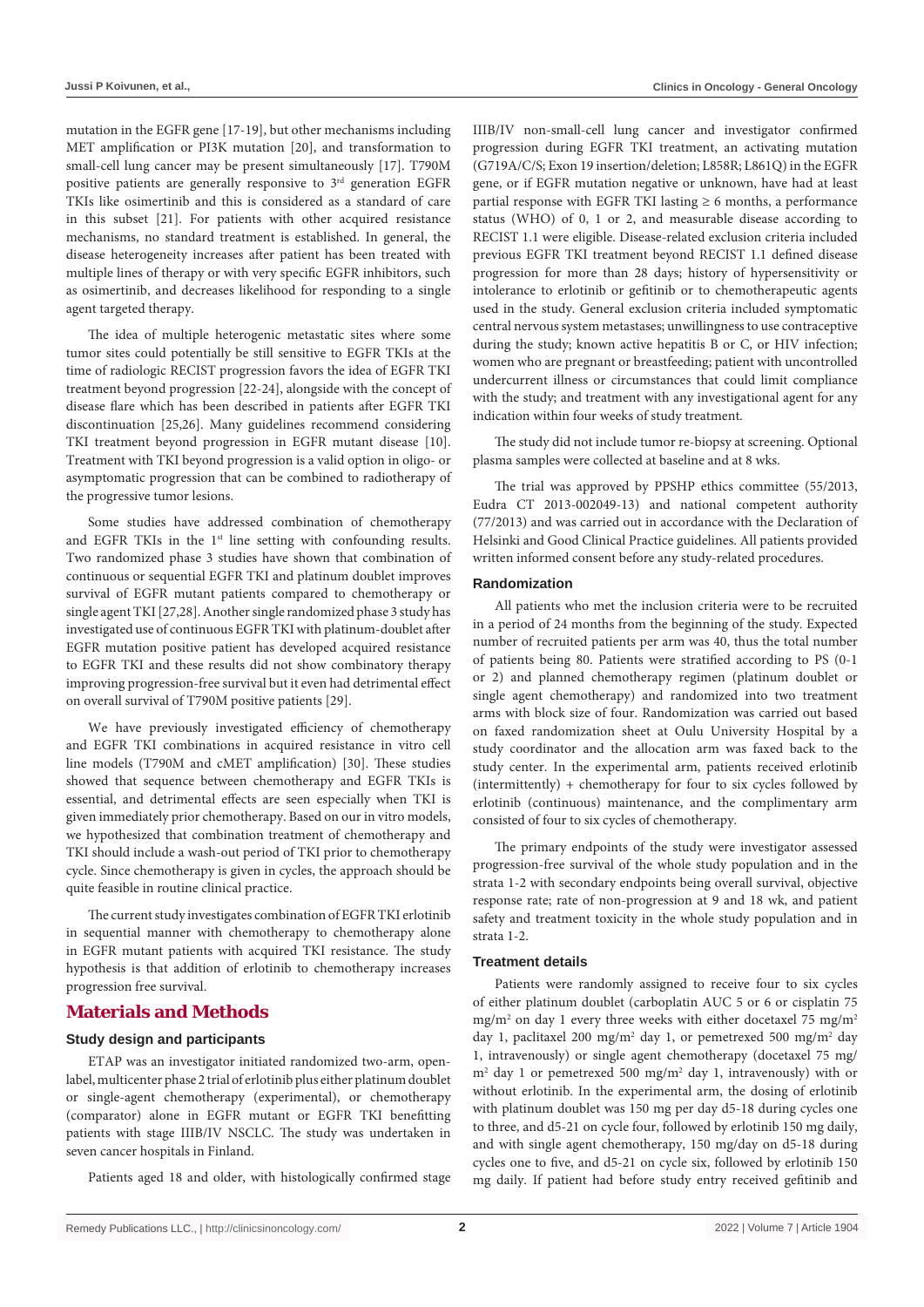mutation in the EGFR gene [17-19], but other mechanisms including MET amplification or PI3K mutation [20], and transformation to small-cell lung cancer may be present simultaneously [17]. T790M positive patients are generally responsive to 3rd generation EGFR TKIs like osimertinib and this is considered as a standard of care in this subset [21]. For patients with other acquired resistance mechanisms, no standard treatment is established. In general, the disease heterogeneity increases after patient has been treated with multiple lines of therapy or with very specific EGFR inhibitors, such as osimertinib, and decreases likelihood for responding to a single agent targeted therapy.

The idea of multiple heterogenic metastatic sites where some tumor sites could potentially be still sensitive to EGFR TKIs at the time of radiologic RECIST progression favors the idea of EGFR TKI treatment beyond progression [22-24], alongside with the concept of disease flare which has been described in patients after EGFR TKI discontinuation [25,26]. Many guidelines recommend considering TKI treatment beyond progression in EGFR mutant disease [10]. Treatment with TKI beyond progression is a valid option in oligo- or asymptomatic progression that can be combined to radiotherapy of the progressive tumor lesions.

Some studies have addressed combination of chemotherapy and EGFR TKIs in the 1<sup>st</sup> line setting with confounding results. Two randomized phase 3 studies have shown that combination of continuous or sequential EGFR TKI and platinum doublet improves survival of EGFR mutant patients compared to chemotherapy or single agent TKI [27,28]. Another single randomized phase 3 study has investigated use of continuous EGFR TKI with platinum-doublet after EGFR mutation positive patient has developed acquired resistance to EGFR TKI and these results did not show combinatory therapy improving progression-free survival but it even had detrimental effect on overall survival of T790M positive patients [29].

We have previously investigated efficiency of chemotherapy and EGFR TKI combinations in acquired resistance in vitro cell line models (T790M and cMET amplification) [30]. These studies showed that sequence between chemotherapy and EGFR TKIs is essential, and detrimental effects are seen especially when TKI is given immediately prior chemotherapy. Based on our in vitro models, we hypothesized that combination treatment of chemotherapy and TKI should include a wash-out period of TKI prior to chemotherapy cycle. Since chemotherapy is given in cycles, the approach should be quite feasible in routine clinical practice.

The current study investigates combination of EGFR TKI erlotinib in sequential manner with chemotherapy to chemotherapy alone in EGFR mutant patients with acquired TKI resistance. The study hypothesis is that addition of erlotinib to chemotherapy increases progression free survival.

## **Materials and Methods**

#### **Study design and participants**

ETAP was an investigator initiated randomized two-arm, openlabel, multicenter phase 2 trial of erlotinib plus either platinum doublet or single-agent chemotherapy (experimental), or chemotherapy (comparator) alone in EGFR mutant or EGFR TKI benefitting patients with stage IIIB/IV NSCLC. The study was undertaken in seven cancer hospitals in Finland.

Patients aged 18 and older, with histologically confirmed stage

IIIB/IV non-small-cell lung cancer and investigator confirmed progression during EGFR TKI treatment, an activating mutation (G719A/C/S; Exon 19 insertion/deletion; L858R; L861Q) in the EGFR gene, or if EGFR mutation negative or unknown, have had at least partial response with EGFR TKI lasting  $\geq 6$  months, a performance status (WHO) of 0, 1 or 2, and measurable disease according to RECIST 1.1 were eligible. Disease-related exclusion criteria included previous EGFR TKI treatment beyond RECIST 1.1 defined disease progression for more than 28 days; history of hypersensitivity or intolerance to erlotinib or gefitinib or to chemotherapeutic agents used in the study. General exclusion criteria included symptomatic central nervous system metastases; unwillingness to use contraceptive during the study; known active hepatitis B or C, or HIV infection; women who are pregnant or breastfeeding; patient with uncontrolled undercurrent illness or circumstances that could limit compliance with the study; and treatment with any investigational agent for any indication within four weeks of study treatment.

The study did not include tumor re-biopsy at screening. Optional plasma samples were collected at baseline and at 8 wks.

The trial was approved by PPSHP ethics committee (55/2013, Eudra CT 2013-002049-13) and national competent authority (77/2013) and was carried out in accordance with the Declaration of Helsinki and Good Clinical Practice guidelines. All patients provided written informed consent before any study-related procedures.

#### **Randomization**

All patients who met the inclusion criteria were to be recruited in a period of 24 months from the beginning of the study. Expected number of recruited patients per arm was 40, thus the total number of patients being 80. Patients were stratified according to PS (0-1 or 2) and planned chemotherapy regimen (platinum doublet or single agent chemotherapy) and randomized into two treatment arms with block size of four. Randomization was carried out based on faxed randomization sheet at Oulu University Hospital by a study coordinator and the allocation arm was faxed back to the study center. In the experimental arm, patients received erlotinib (intermittently) + chemotherapy for four to six cycles followed by erlotinib (continuous) maintenance, and the complimentary arm consisted of four to six cycles of chemotherapy.

The primary endpoints of the study were investigator assessed progression-free survival of the whole study population and in the strata 1-2 with secondary endpoints being overall survival, objective response rate; rate of non-progression at 9 and 18 wk, and patient safety and treatment toxicity in the whole study population and in strata 1-2.

#### **Treatment details**

Patients were randomly assigned to receive four to six cycles of either platinum doublet (carboplatin AUC 5 or 6 or cisplatin 75 mg/m<sup>2</sup> on day 1 every three weeks with either docetaxel 75 mg/m<sup>2</sup> day 1, paclitaxel 200 mg/m2 day 1, or pemetrexed 500 mg/m2 day 1, intravenously) or single agent chemotherapy (docetaxel 75 mg/ m2 day 1 or pemetrexed 500 mg/m2 day 1, intravenously) with or without erlotinib. In the experimental arm, the dosing of erlotinib with platinum doublet was 150 mg per day d5-18 during cycles one to three, and d5-21 on cycle four, followed by erlotinib 150 mg daily, and with single agent chemotherapy, 150 mg/day on d5-18 during cycles one to five, and d5-21 on cycle six, followed by erlotinib 150 mg daily. If patient had before study entry received gefitinib and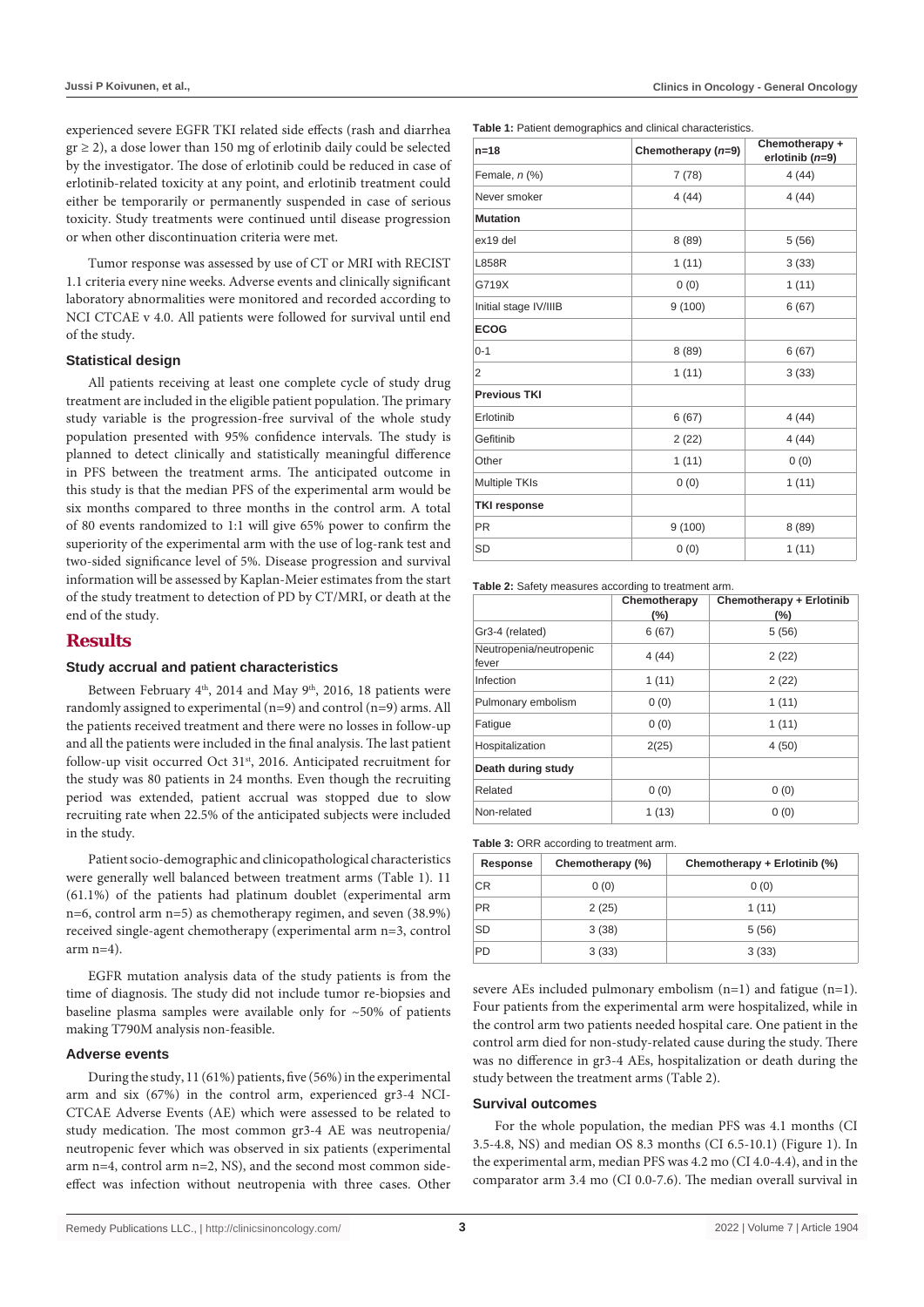experienced severe EGFR TKI related side effects (rash and diarrhea  $gr \ge 2$ ), a dose lower than 150 mg of erlotinib daily could be selected by the investigator. The dose of erlotinib could be reduced in case of erlotinib-related toxicity at any point, and erlotinib treatment could either be temporarily or permanently suspended in case of serious toxicity. Study treatments were continued until disease progression or when other discontinuation criteria were met.

Tumor response was assessed by use of CT or MRI with RECIST 1.1 criteria every nine weeks. Adverse events and clinically significant laboratory abnormalities were monitored and recorded according to NCI CTCAE v 4.0. All patients were followed for survival until end of the study.

#### **Statistical design**

All patients receiving at least one complete cycle of study drug treatment are included in the eligible patient population. The primary study variable is the progression-free survival of the whole study population presented with 95% confidence intervals. The study is planned to detect clinically and statistically meaningful difference in PFS between the treatment arms. The anticipated outcome in this study is that the median PFS of the experimental arm would be six months compared to three months in the control arm. A total of 80 events randomized to 1:1 will give 65% power to confirm the superiority of the experimental arm with the use of log-rank test and two-sided significance level of 5%. Disease progression and survival information will be assessed by Kaplan-Meier estimates from the start of the study treatment to detection of PD by CT/MRI, or death at the end of the study.

## **Results**

#### **Study accrual and patient characteristics**

Between February  $4<sup>th</sup>$ , 2014 and May  $9<sup>th</sup>$ , 2016, 18 patients were randomly assigned to experimental (n=9) and control (n=9) arms. All the patients received treatment and there were no losses in follow-up and all the patients were included in the final analysis. The last patient follow-up visit occurred Oct 31<sup>st</sup>, 2016. Anticipated recruitment for the study was 80 patients in 24 months. Even though the recruiting period was extended, patient accrual was stopped due to slow recruiting rate when 22.5% of the anticipated subjects were included in the study.

Patient socio-demographic and clinicopathological characteristics were generally well balanced between treatment arms (Table 1). 11 (61.1%) of the patients had platinum doublet (experimental arm n=6, control arm n=5) as chemotherapy regimen, and seven (38.9%) received single-agent chemotherapy (experimental arm n=3, control  $arm n=4$ ).

EGFR mutation analysis data of the study patients is from the time of diagnosis. The study did not include tumor re-biopsies and baseline plasma samples were available only for ~50% of patients making T790M analysis non-feasible.

#### **Adverse events**

During the study, 11 (61%) patients, five (56%) in the experimental arm and six (67%) in the control arm, experienced gr3-4 NCI-CTCAE Adverse Events (AE) which were assessed to be related to study medication. The most common gr3-4 AE was neutropenia/ neutropenic fever which was observed in six patients (experimental arm n=4, control arm n=2, NS), and the second most common sideeffect was infection without neutropenia with three cases. Other **Table 1:** Patient demographics and clinical characteristics.

| $n = 18$              | Chemotherapy (n=9) | Chemotherapy +<br>erlotinib $(n=9)$ |
|-----------------------|--------------------|-------------------------------------|
| Female, $n$ (%)       | 7(78)              | 4(44)                               |
| Never smoker          | 4(44)              | 4(44)                               |
| <b>Mutation</b>       |                    |                                     |
| ex19 del              | 8(89)              | 5(56)                               |
| <b>L858R</b>          | 1(11)              | 3(33)                               |
| G719X                 | 0(0)               | 1(11)                               |
| Initial stage IV/IIIB | 9(100)             | 6(67)                               |
| <b>ECOG</b>           |                    |                                     |
| $0 - 1$               | 8(89)              | 6(67)                               |
| 2                     | 1(11)              | 3(33)                               |
| <b>Previous TKI</b>   |                    |                                     |
| Erlotinib             | 6(67)              | 4(44)                               |
| Gefitinib             | 2(22)              | 4(44)                               |
| Other                 | 1(11)              | 0(0)                                |
| Multiple TKIs         | 0(0)               | 1(11)                               |
| <b>TKI response</b>   |                    |                                     |
| <b>PR</b>             | 9(100)             | 8(89)                               |
| <b>SD</b>             | 0(0)               | 1(11)                               |

**Table 2:** Safety measures according to treatment arm.

|                                  | Chemotherapy<br>$(\% )$ | Chemotherapy + Erlotinib<br>$(\% )$ |
|----------------------------------|-------------------------|-------------------------------------|
| Gr3-4 (related)                  | 6(67)                   | 5(56)                               |
| Neutropenia/neutropenic<br>fever | 4(44)                   | 2(22)                               |
| Infection                        | 1(11)                   | 2(22)                               |
| Pulmonary embolism               | 0(0)                    | 1(11)                               |
| Fatique                          | 0(0)                    | 1(11)                               |
| Hospitalization                  | 2(25)                   | 4(50)                               |
| Death during study               |                         |                                     |
| Related                          | 0(0)                    | 0(0)                                |
| Non-related                      | 1(13)                   | 0(0)                                |

**Table 3:** ORR according to treatment arm.

| Response  | Chemotherapy (%) | Chemotherapy + Erlotinib (%) |
|-----------|------------------|------------------------------|
| CR.       | 0(0)             | 0(0)                         |
| <b>PR</b> | 2(25)            | 1(11)                        |
| SD        | 3(38)            | 5(56)                        |
| <b>PD</b> | 3(33)            | 3(33)                        |

severe AEs included pulmonary embolism (n=1) and fatigue (n=1). Four patients from the experimental arm were hospitalized, while in the control arm two patients needed hospital care. One patient in the control arm died for non-study-related cause during the study. There was no difference in gr3-4 AEs, hospitalization or death during the study between the treatment arms (Table 2).

#### **Survival outcomes**

For the whole population, the median PFS was 4.1 months (CI 3.5-4.8, NS) and median OS 8.3 months (CI 6.5-10.1) (Figure 1). In the experimental arm, median PFS was 4.2 mo (CI 4.0-4.4), and in the comparator arm 3.4 mo (CI 0.0-7.6). The median overall survival in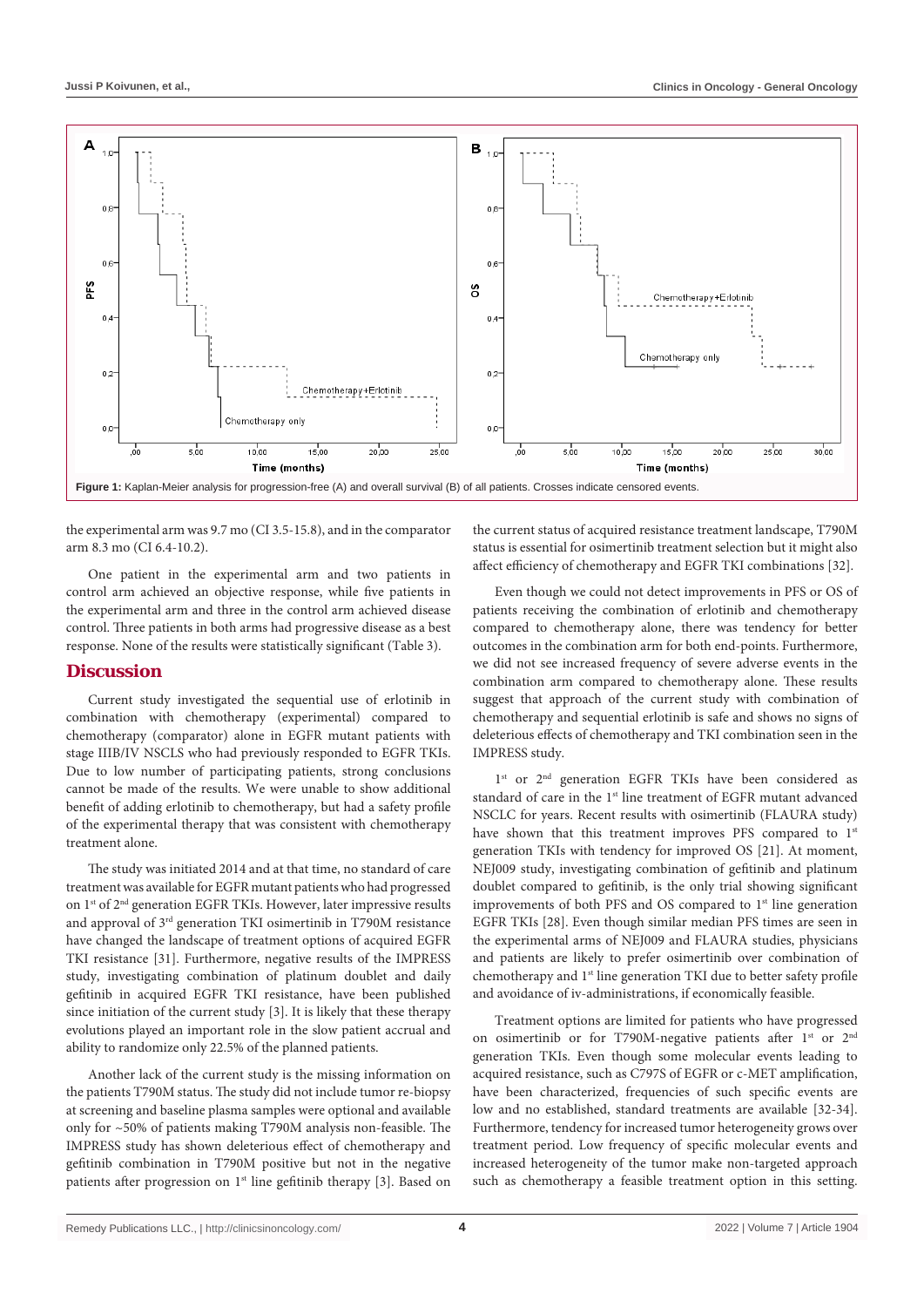

the experimental arm was 9.7 mo (CI 3.5-15.8), and in the comparator arm 8.3 mo (CI 6.4-10.2).

One patient in the experimental arm and two patients in control arm achieved an objective response, while five patients in the experimental arm and three in the control arm achieved disease control. Three patients in both arms had progressive disease as a best response. None of the results were statistically significant (Table 3).

## **Discussion**

Current study investigated the sequential use of erlotinib in combination with chemotherapy (experimental) compared to chemotherapy (comparator) alone in EGFR mutant patients with stage IIIB/IV NSCLS who had previously responded to EGFR TKIs. Due to low number of participating patients, strong conclusions cannot be made of the results. We were unable to show additional benefit of adding erlotinib to chemotherapy, but had a safety profile of the experimental therapy that was consistent with chemotherapy treatment alone.

The study was initiated 2014 and at that time, no standard of care treatment was available for EGFR mutant patients who had progressed on 1<sup>st</sup> of 2<sup>nd</sup> generation EGFR TKIs. However, later impressive results and approval of 3rd generation TKI osimertinib in T790M resistance have changed the landscape of treatment options of acquired EGFR TKI resistance [31]. Furthermore, negative results of the IMPRESS study, investigating combination of platinum doublet and daily gefitinib in acquired EGFR TKI resistance, have been published since initiation of the current study [3]. It is likely that these therapy evolutions played an important role in the slow patient accrual and ability to randomize only 22.5% of the planned patients.

Another lack of the current study is the missing information on the patients T790M status. The study did not include tumor re-biopsy at screening and baseline plasma samples were optional and available only for ~50% of patients making T790M analysis non-feasible. The IMPRESS study has shown deleterious effect of chemotherapy and gefitinib combination in T790M positive but not in the negative patients after progression on  $1<sup>st</sup>$  line gefitinib therapy [3]. Based on the current status of acquired resistance treatment landscape, T790M status is essential for osimertinib treatment selection but it might also affect efficiency of chemotherapy and EGFR TKI combinations [32].

Even though we could not detect improvements in PFS or OS of patients receiving the combination of erlotinib and chemotherapy compared to chemotherapy alone, there was tendency for better outcomes in the combination arm for both end-points. Furthermore, we did not see increased frequency of severe adverse events in the combination arm compared to chemotherapy alone. These results suggest that approach of the current study with combination of chemotherapy and sequential erlotinib is safe and shows no signs of deleterious effects of chemotherapy and TKI combination seen in the IMPRESS study.

1<sup>st</sup> or 2<sup>nd</sup> generation EGFR TKIs have been considered as standard of care in the 1<sup>st</sup> line treatment of EGFR mutant advanced NSCLC for years. Recent results with osimertinib (FLAURA study) have shown that this treatment improves PFS compared to 1st generation TKIs with tendency for improved OS [21]. At moment, NEJ009 study, investigating combination of gefitinib and platinum doublet compared to gefitinib, is the only trial showing significant improvements of both PFS and OS compared to 1<sup>st</sup> line generation EGFR TKIs [28]. Even though similar median PFS times are seen in the experimental arms of NEJ009 and FLAURA studies, physicians and patients are likely to prefer osimertinib over combination of chemotherapy and 1<sup>st</sup> line generation TKI due to better safety profile and avoidance of iv-administrations, if economically feasible.

Treatment options are limited for patients who have progressed on osimertinib or for T790M-negative patients after 1<sup>st</sup> or 2<sup>nd</sup> generation TKIs. Even though some molecular events leading to acquired resistance, such as C797S of EGFR or c-MET amplification, have been characterized, frequencies of such specific events are low and no established, standard treatments are available [32-34]. Furthermore, tendency for increased tumor heterogeneity grows over treatment period. Low frequency of specific molecular events and increased heterogeneity of the tumor make non-targeted approach such as chemotherapy a feasible treatment option in this setting.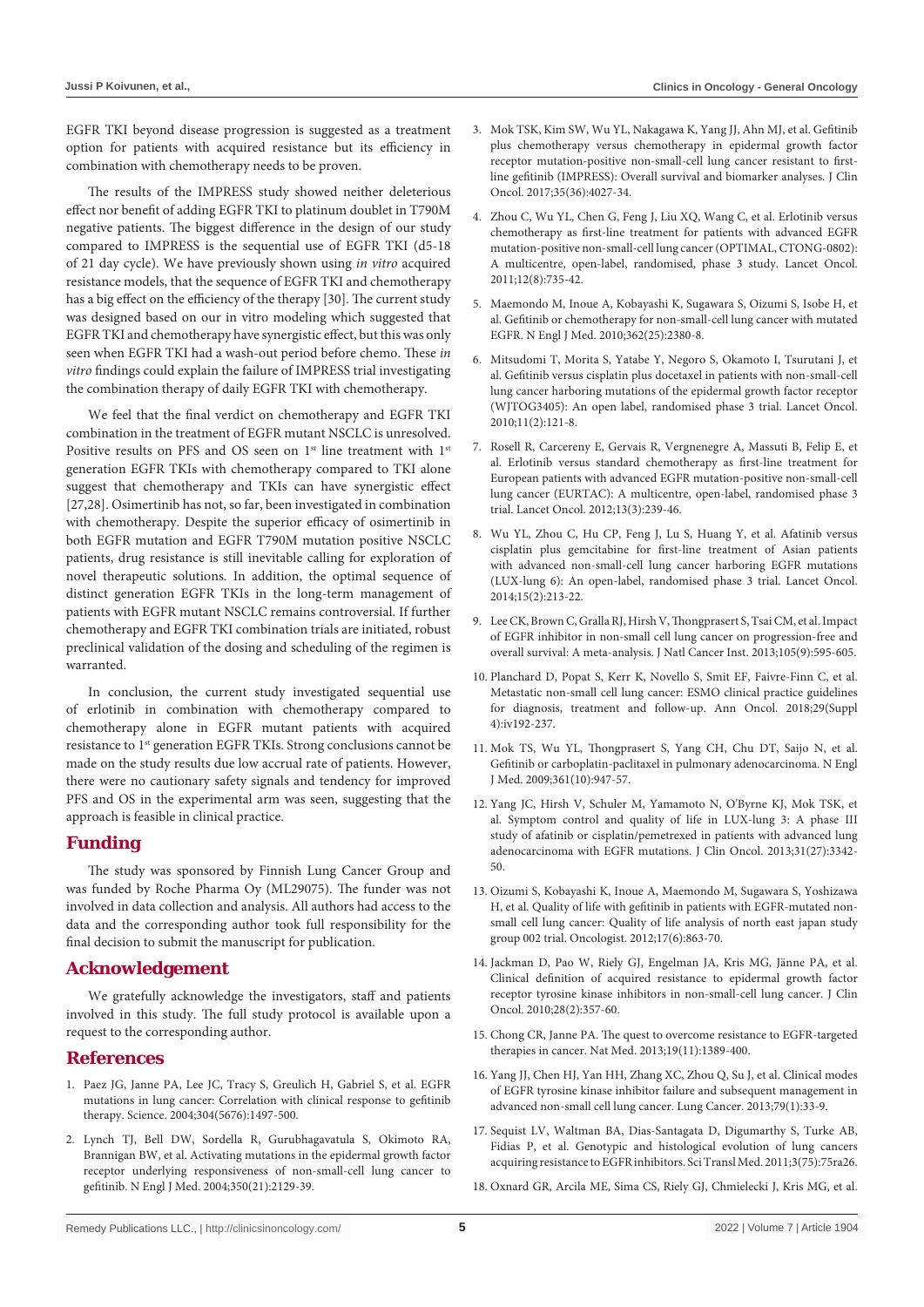EGFR TKI beyond disease progression is suggested as a treatment option for patients with acquired resistance but its efficiency in combination with chemotherapy needs to be proven.

The results of the IMPRESS study showed neither deleterious effect nor benefit of adding EGFR TKI to platinum doublet in T790M negative patients. The biggest difference in the design of our study compared to IMPRESS is the sequential use of EGFR TKI (d5-18 of 21 day cycle). We have previously shown using *in vitro* acquired resistance models, that the sequence of EGFR TKI and chemotherapy has a big effect on the efficiency of the therapy [30]. The current study was designed based on our in vitro modeling which suggested that EGFR TKI and chemotherapy have synergistic effect, but this was only seen when EGFR TKI had a wash-out period before chemo. These *in vitro* findings could explain the failure of IMPRESS trial investigating the combination therapy of daily EGFR TKI with chemotherapy.

We feel that the final verdict on chemotherapy and EGFR TKI combination in the treatment of EGFR mutant NSCLC is unresolved. Positive results on PFS and OS seen on 1<sup>st</sup> line treatment with 1<sup>st</sup> generation EGFR TKIs with chemotherapy compared to TKI alone suggest that chemotherapy and TKIs can have synergistic effect [27,28]. Osimertinib has not, so far, been investigated in combination with chemotherapy. Despite the superior efficacy of osimertinib in both EGFR mutation and EGFR T790M mutation positive NSCLC patients, drug resistance is still inevitable calling for exploration of novel therapeutic solutions. In addition, the optimal sequence of distinct generation EGFR TKIs in the long-term management of patients with EGFR mutant NSCLC remains controversial. If further chemotherapy and EGFR TKI combination trials are initiated, robust preclinical validation of the dosing and scheduling of the regimen is warranted.

In conclusion, the current study investigated sequential use of erlotinib in combination with chemotherapy compared to chemotherapy alone in EGFR mutant patients with acquired resistance to 1st generation EGFR TKIs. Strong conclusions cannot be made on the study results due low accrual rate of patients. However, there were no cautionary safety signals and tendency for improved PFS and OS in the experimental arm was seen, suggesting that the approach is feasible in clinical practice.

## **Funding**

The study was sponsored by Finnish Lung Cancer Group and was funded by Roche Pharma Oy (ML29075). The funder was not involved in data collection and analysis. All authors had access to the data and the corresponding author took full responsibility for the final decision to submit the manuscript for publication.

### **Acknowledgement**

We gratefully acknowledge the investigators, staff and patients involved in this study. The full study protocol is available upon a request to the corresponding author.

#### **References**

- 1. [Paez JG, Janne PA, Lee JC, Tracy S, Greulich H, Gabriel S, et al. EGFR](https://pubmed.ncbi.nlm.nih.gov/15118125/)  [mutations in lung cancer: Correlation with clinical response to gefitinib](https://pubmed.ncbi.nlm.nih.gov/15118125/)  [therapy. Science. 2004;304\(5676\):1497-500.](https://pubmed.ncbi.nlm.nih.gov/15118125/)
- 2. [Lynch TJ, Bell DW, Sordella R, Gurubhagavatula S, Okimoto RA,](https://pubmed.ncbi.nlm.nih.gov/15118073/)  [Brannigan BW, et al. Activating mutations in the epidermal growth factor](https://pubmed.ncbi.nlm.nih.gov/15118073/)  [receptor underlying responsiveness of non-small-cell lung cancer to](https://pubmed.ncbi.nlm.nih.gov/15118073/)  [gefitinib. N Engl J Med. 2004;350\(21\):2129-39.](https://pubmed.ncbi.nlm.nih.gov/15118073/)
- 3. [Mok TSK, Kim SW, Wu YL, Nakagawa K, Yang JJ, Ahn MJ, et al. Gefitinib](https://pubmed.ncbi.nlm.nih.gov/28968167/)  [plus chemotherapy versus chemotherapy in epidermal growth factor](https://pubmed.ncbi.nlm.nih.gov/28968167/)  [receptor mutation-positive non-small-cell lung cancer resistant to first](https://pubmed.ncbi.nlm.nih.gov/28968167/)[line gefitinib \(IMPRESS\): Overall survival and biomarker analyses. J Clin](https://pubmed.ncbi.nlm.nih.gov/28968167/)  [Oncol. 2017;35\(36\):4027-34.](https://pubmed.ncbi.nlm.nih.gov/28968167/)
- 4. [Zhou C, Wu YL, Chen G, Feng J, Liu XQ, Wang C, et al. Erlotinib versus](https://pubmed.ncbi.nlm.nih.gov/21783417/)  [chemotherapy as first-line treatment for patients with advanced EGFR](https://pubmed.ncbi.nlm.nih.gov/21783417/)  [mutation-positive non-small-cell lung cancer \(OPTIMAL, CTONG-0802\):](https://pubmed.ncbi.nlm.nih.gov/21783417/)  [A multicentre, open-label, randomised, phase 3 study. Lancet Oncol.](https://pubmed.ncbi.nlm.nih.gov/21783417/)  [2011;12\(8\):735-42.](https://pubmed.ncbi.nlm.nih.gov/21783417/)
- 5. [Maemondo M, Inoue A, Kobayashi K, Sugawara S, Oizumi S, Isobe H, et](https://pubmed.ncbi.nlm.nih.gov/20573926/)  [al. Gefitinib or chemotherapy for non-small-cell lung cancer with mutated](https://pubmed.ncbi.nlm.nih.gov/20573926/)  [EGFR. N Engl J Med. 2010;362\(25\):2380-8.](https://pubmed.ncbi.nlm.nih.gov/20573926/)
- 6. Mitsudomi T, Morita S, Yatabe Y, Negoro S, Okamoto I, Tsurutani J, et al. Gefitinib versus cisplatin plus docetaxel in patients with non-small-cell lung cancer harboring mutations of the epidermal growth factor receptor (WJTOG3405): An open label, randomised phase 3 trial. Lancet Oncol.  $2010:11(2):121-8$
- 7. [Rosell R, Carcereny E, Gervais R, Vergnenegre A, Massuti B, Felip E, et](https://pubmed.ncbi.nlm.nih.gov/22285168/)  [al. Erlotinib versus standard chemotherapy as first-line treatment for](https://pubmed.ncbi.nlm.nih.gov/22285168/)  [European patients with advanced EGFR mutation-positive non-small-cell](https://pubmed.ncbi.nlm.nih.gov/22285168/)  [lung cancer \(EURTAC\): A multicentre, open-label, randomised phase 3](https://pubmed.ncbi.nlm.nih.gov/22285168/)  [trial. Lancet Oncol. 2012;13\(3\):239-46.](https://pubmed.ncbi.nlm.nih.gov/22285168/)
- 8. [Wu YL, Zhou C, Hu CP, Feng J, Lu S, Huang Y, et al. Afatinib versus](https://pubmed.ncbi.nlm.nih.gov/24439929/)  [cisplatin plus gemcitabine for first-line treatment of Asian patients](https://pubmed.ncbi.nlm.nih.gov/24439929/)  [with advanced non-small-cell lung cancer harboring EGFR mutations](https://pubmed.ncbi.nlm.nih.gov/24439929/)  [\(LUX-lung 6\): An open-label, randomised phase 3 trial. Lancet Oncol.](https://pubmed.ncbi.nlm.nih.gov/24439929/)  [2014;15\(2\):213-22.](https://pubmed.ncbi.nlm.nih.gov/24439929/)
- 9. [Lee CK, Brown C, Gralla RJ, Hirsh V, Thongprasert S, Tsai CM, et al. Impact](https://pubmed.ncbi.nlm.nih.gov/23594426/)  [of EGFR inhibitor in non-small cell lung cancer on progression-free and](https://pubmed.ncbi.nlm.nih.gov/23594426/)  [overall survival: A meta-analysis. J Natl Cancer Inst. 2013;105\(9\):595-605.](https://pubmed.ncbi.nlm.nih.gov/23594426/)
- 10. [Planchard D, Popat S, Kerr K, Novello S, Smit EF, Faivre-Finn C, et al.](https://pubmed.ncbi.nlm.nih.gov/30285222/)  [Metastatic non-small cell lung cancer: ESMO clinical practice guidelines](https://pubmed.ncbi.nlm.nih.gov/30285222/)  [for diagnosis, treatment and follow-up. Ann Oncol. 2018;29\(Suppl](https://pubmed.ncbi.nlm.nih.gov/30285222/)  [4\):iv192-237.](https://pubmed.ncbi.nlm.nih.gov/30285222/)
- 11. [Mok TS, Wu YL, Thongprasert S, Yang CH, Chu DT, Saijo N, et al.](https://pubmed.ncbi.nlm.nih.gov/19692680/)  [Gefitinib or carboplatin-paclitaxel in pulmonary adenocarcinoma. N Engl](https://pubmed.ncbi.nlm.nih.gov/19692680/)  [J Med. 2009;361\(10\):947-57.](https://pubmed.ncbi.nlm.nih.gov/19692680/)
- 12. [Yang JC, Hirsh V, Schuler M, Yamamoto N, O'Byrne KJ, Mok TSK, et](https://pubmed.ncbi.nlm.nih.gov/23816967/)  [al. Symptom control and quality of life in LUX-lung 3: A phase III](https://pubmed.ncbi.nlm.nih.gov/23816967/)  [study of afatinib or cisplatin/pemetrexed in patients with advanced lung](https://pubmed.ncbi.nlm.nih.gov/23816967/)  [adenocarcinoma with EGFR mutations. J Clin Oncol. 2013;31\(27\):3342-](https://pubmed.ncbi.nlm.nih.gov/23816967/) [50.](https://pubmed.ncbi.nlm.nih.gov/23816967/)
- 13. [Oizumi S, Kobayashi K, Inoue A, Maemondo M, Sugawara S, Yoshizawa](https://pubmed.ncbi.nlm.nih.gov/22581822/)  [H, et al. Quality of life with gefitinib in patients with EGFR-mutated non](https://pubmed.ncbi.nlm.nih.gov/22581822/)[small cell lung cancer: Quality of life analysis of north east japan study](https://pubmed.ncbi.nlm.nih.gov/22581822/)  [group 002 trial. Oncologist. 2012;17\(6\):863-70.](https://pubmed.ncbi.nlm.nih.gov/22581822/)
- 14. [Jackman D, Pao W, Riely GJ, Engelman JA, Kris MG, Jänne PA, et al.](https://pubmed.ncbi.nlm.nih.gov/19949011/)  [Clinical definition of acquired resistance to epidermal growth factor](https://pubmed.ncbi.nlm.nih.gov/19949011/)  [receptor tyrosine kinase inhibitors in non-small-cell lung cancer. J Clin](https://pubmed.ncbi.nlm.nih.gov/19949011/)  [Oncol. 2010;28\(2\):357-60.](https://pubmed.ncbi.nlm.nih.gov/19949011/)
- 15. [Chong CR, Janne PA. The quest to overcome resistance to EGFR-targeted](https://www.nature.com/articles/nm.3388)  [therapies in cancer. Nat Med. 2013;19\(11\):1389-400.](https://www.nature.com/articles/nm.3388)
- 16. [Yang JJ, Chen HJ, Yan HH, Zhang XC, Zhou Q, Su J, et al. Clinical modes](https://pubmed.ncbi.nlm.nih.gov/23079155/)  [of EGFR tyrosine kinase inhibitor failure and subsequent management in](https://pubmed.ncbi.nlm.nih.gov/23079155/)  [advanced non-small cell lung cancer. Lung Cancer. 2013;79\(1\):33-9.](https://pubmed.ncbi.nlm.nih.gov/23079155/)
- 17. [Sequist LV, Waltman BA, Dias-Santagata D, Digumarthy S, Turke AB,](https://pubmed.ncbi.nlm.nih.gov/21430269/)  [Fidias P, et al. Genotypic and histological evolution of lung cancers](https://pubmed.ncbi.nlm.nih.gov/21430269/)  [acquiring resistance to EGFR inhibitors. Sci Transl Med. 2011;3\(75\):75ra26.](https://pubmed.ncbi.nlm.nih.gov/21430269/)
- 18. [Oxnard GR, Arcila ME, Sima CS, Riely GJ, Chmielecki J, Kris MG, et al.](https://pubmed.ncbi.nlm.nih.gov/21135146/)